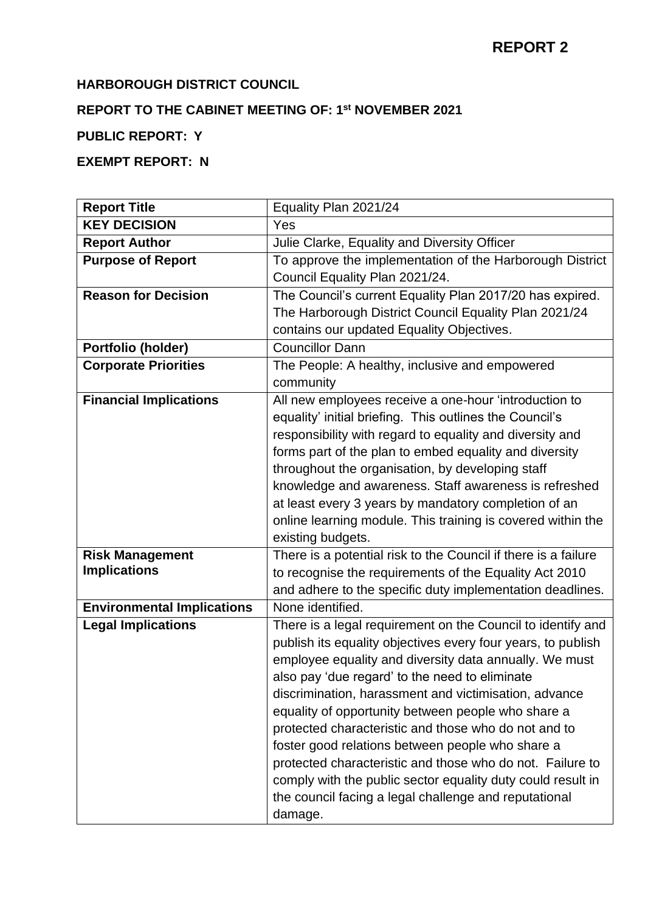## **HARBOROUGH DISTRICT COUNCIL**

#### **REPORT TO THE CABINET MEETING OF: 1 st NOVEMBER 2021**

# **PUBLIC REPORT: Y**

# **EXEMPT REPORT: N**

| <b>Report Title</b>               | Equality Plan 2021/24                                          |
|-----------------------------------|----------------------------------------------------------------|
| <b>KEY DECISION</b>               | Yes                                                            |
| <b>Report Author</b>              | Julie Clarke, Equality and Diversity Officer                   |
| <b>Purpose of Report</b>          | To approve the implementation of the Harborough District       |
|                                   | Council Equality Plan 2021/24.                                 |
| <b>Reason for Decision</b>        | The Council's current Equality Plan 2017/20 has expired.       |
|                                   | The Harborough District Council Equality Plan 2021/24          |
|                                   | contains our updated Equality Objectives.                      |
| Portfolio (holder)                | <b>Councillor Dann</b>                                         |
| <b>Corporate Priorities</b>       | The People: A healthy, inclusive and empowered                 |
|                                   | community                                                      |
| <b>Financial Implications</b>     | All new employees receive a one-hour 'introduction to          |
|                                   | equality' initial briefing. This outlines the Council's        |
|                                   | responsibility with regard to equality and diversity and       |
|                                   | forms part of the plan to embed equality and diversity         |
|                                   | throughout the organisation, by developing staff               |
|                                   | knowledge and awareness. Staff awareness is refreshed          |
|                                   | at least every 3 years by mandatory completion of an           |
|                                   | online learning module. This training is covered within the    |
|                                   | existing budgets.                                              |
| <b>Risk Management</b>            | There is a potential risk to the Council if there is a failure |
| <b>Implications</b>               | to recognise the requirements of the Equality Act 2010         |
|                                   | and adhere to the specific duty implementation deadlines.      |
| <b>Environmental Implications</b> | None identified.                                               |
| <b>Legal Implications</b>         | There is a legal requirement on the Council to identify and    |
|                                   | publish its equality objectives every four years, to publish   |
|                                   | employee equality and diversity data annually. We must         |
|                                   | also pay 'due regard' to the need to eliminate                 |
|                                   | discrimination, harassment and victimisation, advance          |
|                                   | equality of opportunity between people who share a             |
|                                   | protected characteristic and those who do not and to           |
|                                   | foster good relations between people who share a               |
|                                   | protected characteristic and those who do not. Failure to      |
|                                   | comply with the public sector equality duty could result in    |
|                                   | the council facing a legal challenge and reputational          |
|                                   | damage.                                                        |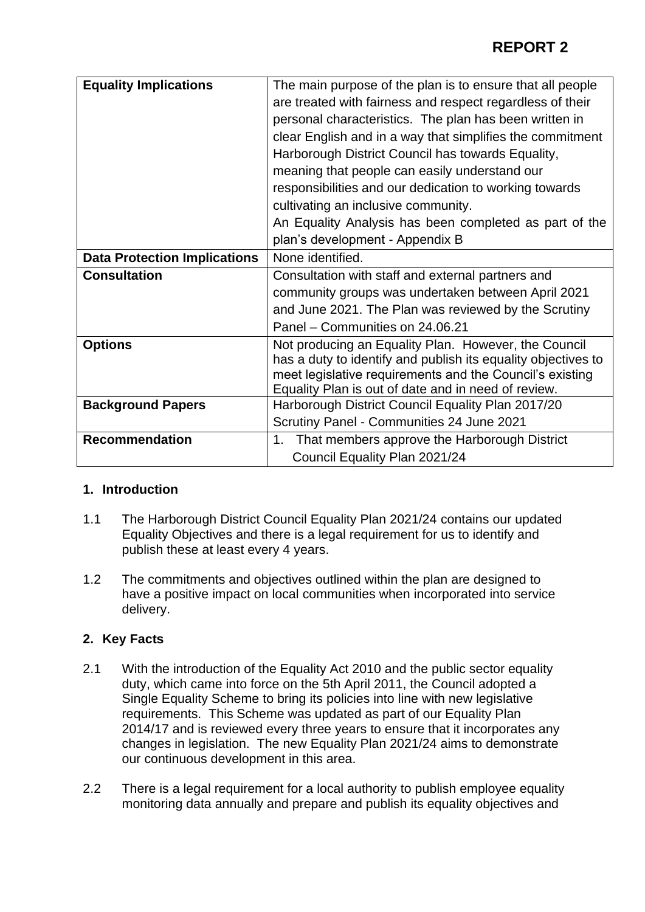| <b>Equality Implications</b>        | The main purpose of the plan is to ensure that all people                                                                                                                                                                                |
|-------------------------------------|------------------------------------------------------------------------------------------------------------------------------------------------------------------------------------------------------------------------------------------|
|                                     | are treated with fairness and respect regardless of their                                                                                                                                                                                |
|                                     | personal characteristics. The plan has been written in                                                                                                                                                                                   |
|                                     | clear English and in a way that simplifies the commitment                                                                                                                                                                                |
|                                     | Harborough District Council has towards Equality,                                                                                                                                                                                        |
|                                     | meaning that people can easily understand our                                                                                                                                                                                            |
|                                     | responsibilities and our dedication to working towards                                                                                                                                                                                   |
|                                     | cultivating an inclusive community.                                                                                                                                                                                                      |
|                                     | An Equality Analysis has been completed as part of the                                                                                                                                                                                   |
|                                     | plan's development - Appendix B                                                                                                                                                                                                          |
| <b>Data Protection Implications</b> | None identified.                                                                                                                                                                                                                         |
| <b>Consultation</b>                 | Consultation with staff and external partners and                                                                                                                                                                                        |
|                                     | community groups was undertaken between April 2021                                                                                                                                                                                       |
|                                     | and June 2021. The Plan was reviewed by the Scrutiny                                                                                                                                                                                     |
|                                     | Panel – Communities on 24.06.21                                                                                                                                                                                                          |
| <b>Options</b>                      | Not producing an Equality Plan. However, the Council<br>has a duty to identify and publish its equality objectives to<br>meet legislative requirements and the Council's existing<br>Equality Plan is out of date and in need of review. |
| <b>Background Papers</b>            | Harborough District Council Equality Plan 2017/20                                                                                                                                                                                        |
|                                     | Scrutiny Panel - Communities 24 June 2021                                                                                                                                                                                                |
| <b>Recommendation</b>               | 1. That members approve the Harborough District                                                                                                                                                                                          |
|                                     | Council Equality Plan 2021/24                                                                                                                                                                                                            |

### **1. Introduction**

- 1.1 The Harborough District Council Equality Plan 2021/24 contains our updated Equality Objectives and there is a legal requirement for us to identify and publish these at least every 4 years.
- 1.2 The commitments and objectives outlined within the plan are designed to have a positive impact on local communities when incorporated into service delivery.

### **2. Key Facts**

- 2.1 With the introduction of the Equality Act 2010 and the public sector equality duty, which came into force on the 5th April 2011, the Council adopted a Single Equality Scheme to bring its policies into line with new legislative requirements. This Scheme was updated as part of our Equality Plan 2014/17 and is reviewed every three years to ensure that it incorporates any changes in legislation. The new Equality Plan 2021/24 aims to demonstrate our continuous development in this area.
- 2.2 There is a legal requirement for a local authority to publish employee equality monitoring data annually and prepare and publish its equality objectives and